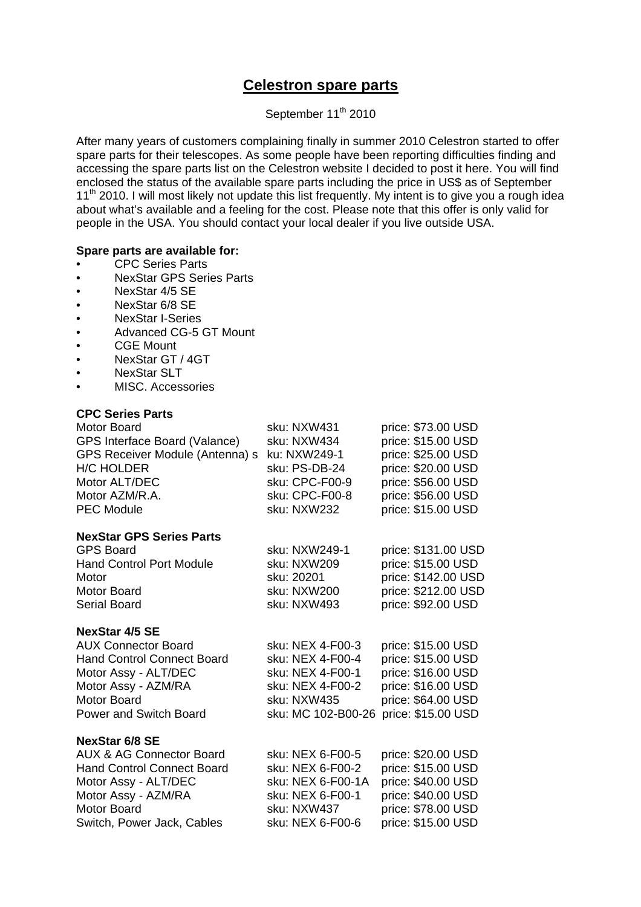# **Celestron spare parts**

## September 11<sup>th</sup> 2010

After many years of customers complaining finally in summer 2010 Celestron started to offer spare parts for their telescopes. As some people have been reporting difficulties finding and accessing the spare parts list on the Celestron website I decided to post it here. You will find enclosed the status of the available spare parts including the price in US\$ as of September 11<sup>th</sup> 2010. I will most likely not update this list frequently. My intent is to give you a rough idea about what's available and a feeling for the cost. Please note that this offer is only valid for people in the USA. You should contact your local dealer if you live outside USA.

### **Spare parts are available for:**

- CPC Series Parts
- NexStar GPS Series Parts
- NexStar 4/5 SE
- NexStar 6/8 SE
- NexStar I-Series
- Advanced CG-5 GT Mount
- CGE Mount
- NexStar GT / 4GT
- NexStar SLT
- MISC. Accessories

#### **CPC Series Parts**

| <b>Motor Board</b><br>GPS Interface Board (Valance)<br>GPS Receiver Module (Antenna) s<br><b>H/C HOLDER</b><br>Motor ALT/DEC<br>Motor AZM/R.A.<br><b>PEC Module</b>                                  | sku: NXW431<br>sku: NXW434<br>ku: NXW249-1<br>sku: PS-DB-24<br>sku: CPC-F00-9<br>sku: CPC-F00-8<br>sku: NXW232    | price: \$73.00 USD<br>price: \$15.00 USD<br>price: \$25.00 USD<br>price: \$20.00 USD<br>price: \$56.00 USD<br>price: \$56.00 USD<br>price: \$15.00 USD |
|------------------------------------------------------------------------------------------------------------------------------------------------------------------------------------------------------|-------------------------------------------------------------------------------------------------------------------|--------------------------------------------------------------------------------------------------------------------------------------------------------|
| <b>NexStar GPS Series Parts</b><br><b>GPS Board</b><br><b>Hand Control Port Module</b><br>Motor<br>Motor Board<br><b>Serial Board</b>                                                                | sku: NXW249-1<br>sku: NXW209<br>sku: 20201<br>sku: NXW200<br>sku: NXW493                                          | price: \$131.00 USD<br>price: \$15.00 USD<br>price: \$142.00 USD<br>price: \$212.00 USD<br>price: \$92.00 USD                                          |
| <b>NexStar 4/5 SE</b><br><b>AUX Connector Board</b><br><b>Hand Control Connect Board</b><br>Motor Assy - ALT/DEC<br>Motor Assy - AZM/RA<br><b>Motor Board</b><br><b>Power and Switch Board</b>       | sku: NEX 4-F00-3<br>sku: NEX 4-F00-4<br>sku: NEX 4-F00-1<br>sku: NEX 4-F00-2<br>sku: NXW435<br>sku: MC 102-B00-26 | price: \$15.00 USD<br>price: \$15.00 USD<br>price: \$16.00 USD<br>price: \$16.00 USD<br>price: \$64.00 USD<br>price: \$15.00 USD                       |
| <b>NexStar 6/8 SE</b><br><b>AUX &amp; AG Connector Board</b><br><b>Hand Control Connect Board</b><br>Motor Assy - ALT/DEC<br>Motor Assy - AZM/RA<br><b>Motor Board</b><br>Switch, Power Jack, Cables | sku: NEX 6-F00-5<br>sku: NEX 6-F00-2<br>sku: NEX 6-F00-1A<br>sku: NEX 6-F00-1<br>sku: NXW437<br>sku: NEX 6-F00-6  | price: \$20.00 USD<br>price: \$15.00 USD<br>price: \$40.00 USD<br>price: \$40.00 USD<br>price: \$78.00 USD<br>price: \$15.00 USD                       |